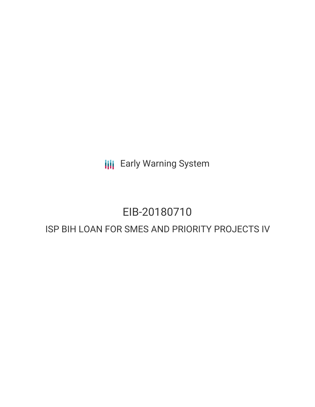**III** Early Warning System

# EIB-20180710

## ISP BIH LOAN FOR SMES AND PRIORITY PROJECTS IV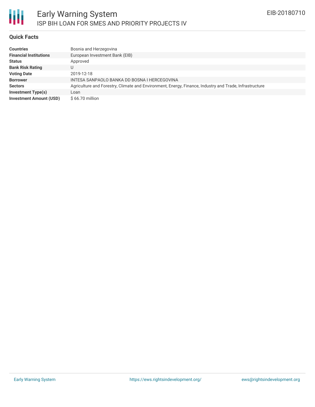

#### **Quick Facts**

| <b>Countries</b>               | Bosnia and Herzegovina                                                                                 |
|--------------------------------|--------------------------------------------------------------------------------------------------------|
| <b>Financial Institutions</b>  | European Investment Bank (EIB)                                                                         |
| <b>Status</b>                  | Approved                                                                                               |
| <b>Bank Risk Rating</b>        | U                                                                                                      |
| <b>Voting Date</b>             | 2019-12-18                                                                                             |
| <b>Borrower</b>                | INTESA SANPAOLO BANKA DD BOSNA I HERCEGOVINA                                                           |
| <b>Sectors</b>                 | Agriculture and Forestry, Climate and Environment, Energy, Finance, Industry and Trade, Infrastructure |
| <b>Investment Type(s)</b>      | Loan                                                                                                   |
| <b>Investment Amount (USD)</b> | $$66.70$ million                                                                                       |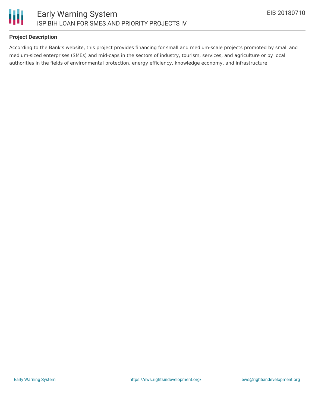

#### **Project Description**

Ш

According to the Bank's website, this project provides financing for small and medium-scale projects promoted by small and medium-sized enterprises (SMEs) and mid-caps in the sectors of industry, tourism, services, and agriculture or by local authorities in the fields of environmental protection, energy efficiency, knowledge economy, and infrastructure.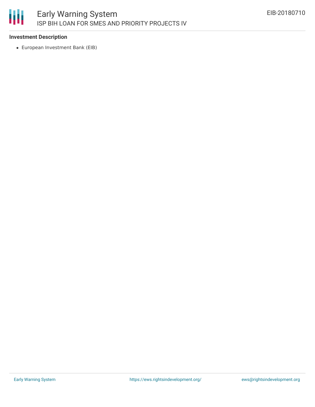

#### **Investment Description**

European Investment Bank (EIB)